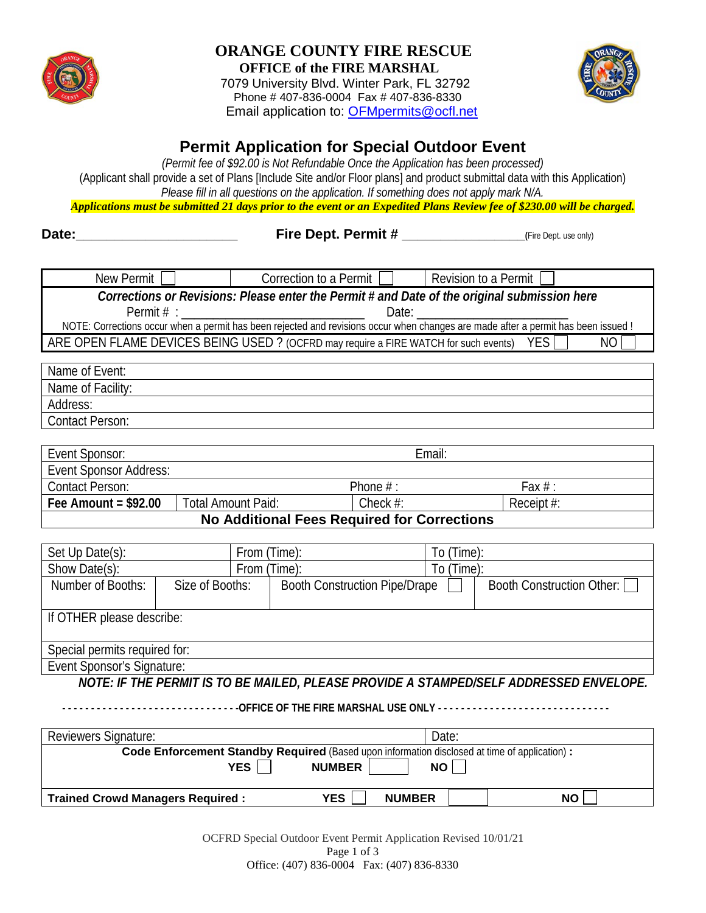

### **ORANGE COUNTY FIRE RESCUE OFFICE of the FIRE MARSHAL**

7079 University Blvd. Winter Park, FL 32792 Phone # 407-836-0004 Fax # 407-836-8330 Email application to: [OFMpermits@ocfl.net](mailto:OFMpermits@ocfl.net) 



# **Permit Application for Special Outdoor Event**

 (Applicant shall provide a set of Plans [Include Site and/or Floor plans] and product submittal data with this Application) *(Permit fee of \$92.00 is Not Refundable Once the Application has been processed) Please fill in all questions on the application. If something does not apply mark N/A.* 

*Applications must be submitted 21 days prior to the event or an Expedited Plans Review fee of \$230.00 will be charged.* 

**Date:\_\_\_\_\_\_\_\_\_\_\_\_\_\_\_\_\_\_\_\_\_ Fire Dept. Permit # \_\_\_\_\_\_\_\_\_\_\_\_\_\_\_\_(**Fire Dept. use only)

| New Permit                                                                                                                         |                           | Correction to a Permit               |                        | Revision to a Permit |                             |  |
|------------------------------------------------------------------------------------------------------------------------------------|---------------------------|--------------------------------------|------------------------|----------------------|-----------------------------|--|
| Corrections or Revisions: Please enter the Permit # and Date of the original submission here                                       |                           |                                      |                        |                      |                             |  |
| Date:                                                                                                                              |                           |                                      |                        |                      |                             |  |
| NOTE: Corrections occur when a permit has been rejected and revisions occur when changes are made after a permit has been issued ! |                           |                                      |                        |                      |                             |  |
| ARE OPEN FLAME DEVICES BEING USED? (OCFRD may require a FIRE WATCH for such events)<br><b>YES</b><br>N <sub>O</sub>                |                           |                                      |                        |                      |                             |  |
|                                                                                                                                    |                           |                                      |                        |                      |                             |  |
| Name of Event:                                                                                                                     |                           |                                      |                        |                      |                             |  |
| Name of Facility:                                                                                                                  |                           |                                      |                        |                      |                             |  |
| Address:                                                                                                                           |                           |                                      |                        |                      |                             |  |
| <b>Contact Person:</b>                                                                                                             |                           |                                      |                        |                      |                             |  |
|                                                                                                                                    |                           |                                      |                        |                      |                             |  |
|                                                                                                                                    | Email:<br>Event Sponsor:  |                                      |                        |                      |                             |  |
| <b>Event Sponsor Address:</b>                                                                                                      |                           |                                      |                        |                      |                             |  |
| <b>Contact Person:</b>                                                                                                             |                           |                                      | Phone $#$ :            | Fax $#$ :            |                             |  |
| Fee Amount = $$92.00$                                                                                                              | <b>Total Amount Paid:</b> |                                      | Check #:<br>Receipt #: |                      |                             |  |
| <b>No Additional Fees Required for Corrections</b>                                                                                 |                           |                                      |                        |                      |                             |  |
|                                                                                                                                    |                           |                                      |                        |                      |                             |  |
| Set Up Date(s):                                                                                                                    |                           |                                      | From (Time):           |                      | To (Time):                  |  |
| Show Date(s):                                                                                                                      | From (Time):              |                                      |                        | To (Time):           |                             |  |
| Number of Booths:                                                                                                                  | Size of Booths:           | <b>Booth Construction Pipe/Drape</b> |                        |                      | Booth Construction Other: [ |  |
|                                                                                                                                    |                           |                                      |                        |                      |                             |  |
| If OTHER please describe:                                                                                                          |                           |                                      |                        |                      |                             |  |
|                                                                                                                                    |                           |                                      |                        |                      |                             |  |
| Special permits required for:                                                                                                      |                           |                                      |                        |                      |                             |  |
| Event Sponsor's Signature:                                                                                                         |                           |                                      |                        |                      |                             |  |
| NOTE: IF THE PERMIT IS TO BE MAILED, PLEASE PROVIDE A STAMPED/SELF ADDRESSED ENVELOPE.                                             |                           |                                      |                        |                      |                             |  |

 **- - - - - - - - - - - - - - - - - - - - - - - - - - - - - - -OFFICE OF THE FIRE MARSHAL USE ONLY - - - - - - - - - - - - - - - - - - - - - - - - - - - - -** 

| <b>Reviewers Signature:</b>                                                                          |                      | Date:     |  |  |  |
|------------------------------------------------------------------------------------------------------|----------------------|-----------|--|--|--|
| <b>Code Enforcement Standby Required (Based upon information disclosed at time of application) :</b> |                      |           |  |  |  |
| <b>YES</b><br>NO.<br><b>NUMBER</b>                                                                   |                      |           |  |  |  |
|                                                                                                      |                      |           |  |  |  |
| <b>Trained Crowd Managers Required:</b>                                                              | YES<br><b>NUMBER</b> | <b>NO</b> |  |  |  |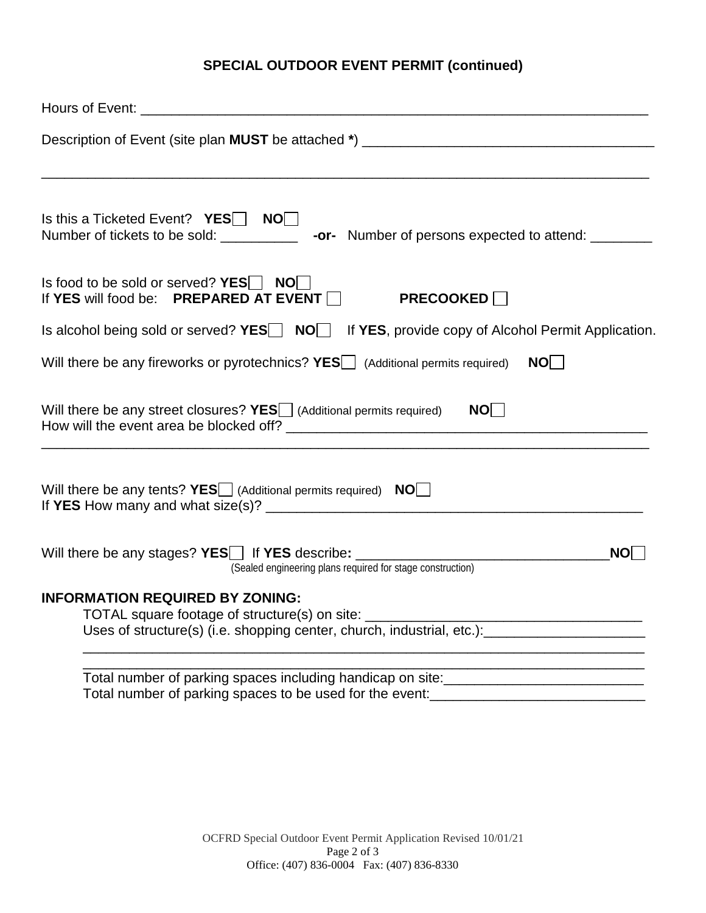## **SPECIAL OUTDOOR EVENT PERMIT (continued)**

| Is this a Ticketed Event? $YES$ NO                                                                                                                                                                        |
|-----------------------------------------------------------------------------------------------------------------------------------------------------------------------------------------------------------|
| Is food to be sold or served? $YES$ NO<br>If YES will food be: PREPARED AT EVENT $\Box$<br><b>PRECOOKED</b>                                                                                               |
| Is alcohol being sold or served? YES NOM If YES, provide copy of Alcohol Permit Application.                                                                                                              |
| Will there be any fireworks or pyrotechnics? YES (Additional permits required)<br>NO                                                                                                                      |
| Will there be any street closures? $YES$ (Additional permits required) $NO \Box$                                                                                                                          |
| Will there be any tents? $YES$ (Additional permits required) $NO$                                                                                                                                         |
| Will there be any stages? YES   If YES describe: ________________________________<br>(Sealed engineering plans required for stage construction)<br>NO                                                     |
| <b>INFORMATION REQUIRED BY ZONING:</b><br>TOTAL square footage of structure(s) on site:<br>Uses of structure(s) (i.e. shopping center, church, industrial, etc.): [11] [2012] [2013] [2013] [2014] [2014] |
| Total number of parking spaces to be used for the event:_________________________                                                                                                                         |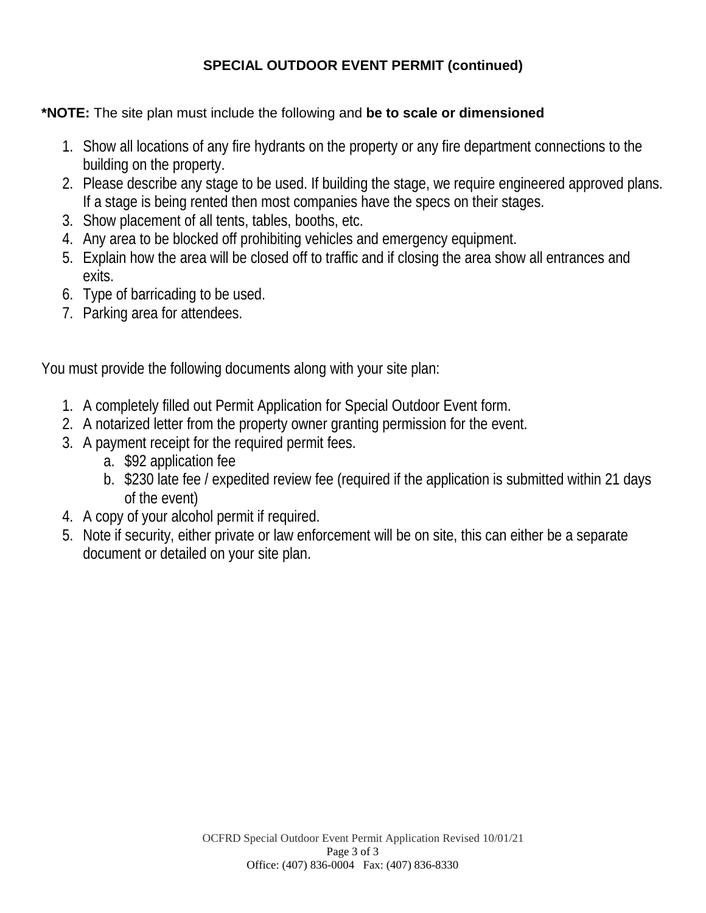## **SPECIAL OUTDOOR EVENT PERMIT (continued)**

### **\*NOTE:** The site plan must include the following and **be to scale or dimensioned**

- 1. Show all locations of any fire hydrants on the property or any fire department connections to the building on the property.
- 2. Please describe any stage to be used. If building the stage, we require engineered approved plans. If a stage is being rented then most companies have the specs on their stages.
- 3. Show placement of all tents, tables, booths, etc.
- 4. Any area to be blocked off prohibiting vehicles and emergency equipment.
- 5. Explain how the area will be closed off to traffic and if closing the area show all entrances and exits.
- 6. Type of barricading to be used.
- 7. Parking area for attendees.

You must provide the following documents along with your site plan:

- 1. A completely filled out Permit Application for Special Outdoor Event form.
- 2. A notarized letter from the property owner granting permission for the event.
- 3. A payment receipt for the required permit fees.
	- a. \$92 application fee
	- b. \$230 late fee / expedited review fee (required if the application is submitted within 21 days of the event)
- 4. A copy of your alcohol permit if required.
- 5. Note if security, either private or law enforcement will be on site, this can either be a separate document or detailed on your site plan.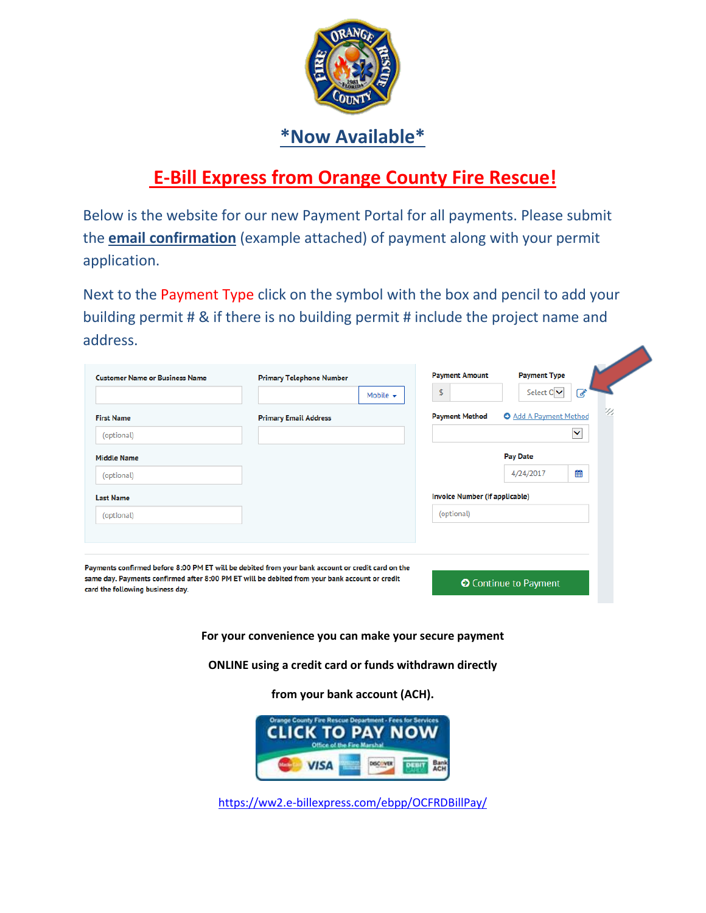

# **\*Now Available\***

# **E-Bill Express from Orange County Fire Rescue!**

 the **email confirmation** (example attached) of payment along with your permit Below is the website for our new Payment Portal for all payments. Please submit application.

Next to the Payment Type click on the symbol with the box and pencil to add your building permit # & if there is no building permit # include the project name and address.

| <b>Customer Name or Business Name</b> | <b>Primary Telephone Number</b><br>Mobile $\sim$                                                  | <b>Payment Amount</b><br><b>Payment Type</b><br>Select $C$ $\vee$<br>\$<br>$\mathscr{A}$ |  |  |
|---------------------------------------|---------------------------------------------------------------------------------------------------|------------------------------------------------------------------------------------------|--|--|
| <b>First Name</b><br>(optional)       | <b>Primary Email Address</b>                                                                      | <b>O</b> Add A Payment Method<br><b>Payment Method</b><br>$\checkmark$                   |  |  |
| <b>Middle Name</b>                    |                                                                                                   | <b>Pay Date</b><br>雦<br>4/24/2017                                                        |  |  |
| (optional)<br><b>Last Name</b>        |                                                                                                   | Invoice Number (if applicable)                                                           |  |  |
| (optional)                            |                                                                                                   | (optional)                                                                               |  |  |
|                                       | Payments confirmed before 8:00 PM ET will be debited from your bank account or credit card on the |                                                                                          |  |  |
| card the following business day.      | same day. Payments confirmed after 8:00 PM ET will be debited from your bank account or credit    | Continue to Payment                                                                      |  |  |

 **For your convenience you can make your secure payment** 

**ONLINE using a credit card or funds withdrawn directly** 

**from your bank account (ACH).** 



<https://ww2.e-billexpress.com/ebpp/OCFRDBillPay/>